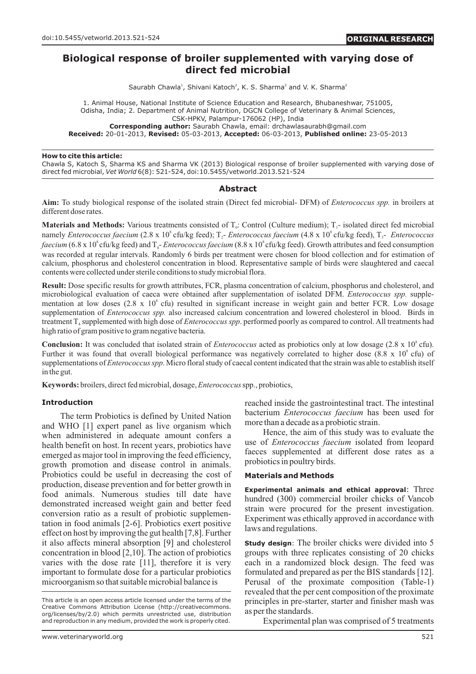# **Biological response of broiler supplemented with varying dose of direct fed microbial**

Saurabh Chawla<sup>1</sup>, Shivani Katoch<sup>2</sup>, K. S. Sharma<sup>2</sup> and V. K. Sharma<sup>2</sup>

1. Animal House, National Institute of Science Education and Research, Bhubaneshwar, 751005, Odisha, India; 2. Department of Animal Nutrition, DGCN College of Veterinary & Animal Sciences, CSK-HPKV, Palampur-176062 (HP), India **Corresponding author:** Saurabh Chawla, email: drchawlasaurabh@gmail.com

**Received:** 20-01-2013, **Revised:** 05-03-2013, **Accepted:** 06-03-2013, **Published online:** 23-05-2013

### **How to cite this article:**

Chawla S, Katoch S, Sharma KS and Sharma VK (2013) Biological response of broiler supplemented with varying dose of direct fed microbial, *Vet World* 6(8): 521-524, doi:10.5455/vetworld.2013.521-524

## **Abstract**

**Aim:** To study biological response of the isolated strain (Direct fed microbial- DFM) of *Enterococcus spp.* in broilers at different dose rates.

**Materials and Methods:** Various treatments consisted of  $T<sub>o</sub>$ : Control (Culture medium);  $T<sub>1</sub>$ - isolated direct fed microbial namely *Enterococcus faecium* (2.8 x 10<sup>8</sup> cfu/kg feed); T<sub>2</sub>- *Enterococcus faecium* (4.8 x 10<sup>8</sup> cfu/kg feed), T<sub>3</sub>- *Enterococcus faecium* (6.8 x 10<sup>8</sup> cfu/kg feed) and T<sub>r</sub>-*Enterococcus faecium* (8.8 x 10<sup>8</sup> cfu/kg feed). Growth attributes and feed consumption was recorded at regular intervals. Randomly 6 birds per treatment were chosen for blood collection and for estimation of calcium, phosphorus and cholesterol concentration in blood. Representative sample of birds were slaughtered and caecal contents were collected under sterile conditions to study microbial flora.

**Result:** Dose specific results for growth attributes, FCR, plasma concentration of calcium, phosphorus and cholesterol, and microbiological evaluation of caeca were obtained after supplementation of isolated DFM. *Enterococcus spp.* supplementation at low doses  $(2.8 \times 10^8 \text{ cftu})$  resulted in significant increase in weight gain and better FCR. Low dosage supplementation of *Enterococcus spp.* also increased calcium concentration and lowered cholesterol in blood. Birds in treatment  $T<sub>4</sub>$  supplemented with high dose of *Enterococcus spp*. performed poorly as compared to control. All treatments had high ratio of gram positive to gram negative bacteria.

**Conclusion:** It was concluded that isolated strain of *Enterococcus* acted as probiotics only at low dosage (2.8 x 10<sup>8</sup> cfu). Further it was found that overall biological performance was negatively correlated to higher dose (8.8 x 10 $^{\circ}$  cfu) of supplementations of *Enterococcus spp*. Micro floral study of caecal content indicated that the strain was able to establish itself in the gut.

**Keywords:** broilers, direct fed microbial, dosage, *Enterococcus*spp., probiotics,

and WHO [1] expert panel as live organism which more than a decade as a probiotic strain.<br>when administered in adequate amount conferse a Hence, the aim of this study was to evaluate the when administered in adequate amount confers a<br>health hence, the aim of this study was to evaluate the<br>health hence the when the when the when the when the when the when the when the when the when the when the when the whe health benefit on host. In recent years, probiotics have the contract of *Enterococcus faecium* isolated from leopard and energy of the feed efficiency faeces supplemented at different dose rates as a emerged as major tool in improving the feed efficiency, have result as a experimented at probiotics in poultry birds. growth promotion and disease control in animals. Probiotics could be useful in decreasing the cost of **Materials and Methods** production, disease prevention and for better growth in Experimental animals and ethical approval: Three food animals. Numerous studies till date have hundred (300) commercial broiler chicks of Vancob demonstrated increased weight gain and better feed<br>conversion ratio as a result of probiotic supplemen-<br>tation in food animals [2-6]. Probiotics exert positive<br>effect on host by improving the gut health [7,8]. Further<br>effe it also affects mineral absorption [9] and cholesterol **Study design**: The broiler chicks were divided into 5 concentration in blood [2,10]. The action of probiotics groups with three replicates consisting of 20 chicks varies with the dose rate [11], therefore it is very each in a randomized block design. The feed was important to formulate dose for a particular probiotics formulated and prepared as per the BIS standards [12]. microorganism so that suitable microbial balance is Perusal of the proximate composition (Table-1)

**Introduction** reached inside the gastrointestinal tract. The intestinal The term Probiotics is defined by United Nation<br>WHO [1] expert papel as live exercise which<br>more than a decade as a probiotic strain.

revealed that the per cent composition of the proximate principles in pre-starter, starter and finisher mash was as per the standards.

Experimental plan was comprised of 5 treatments

This article is an open access article licensed under the terms of the Creative Commons Attribution License (http://creativecommons. org/licenses/by/2.0) which permits unrestricted use, distribution and reproduction in any medium, provided the work is properly cited.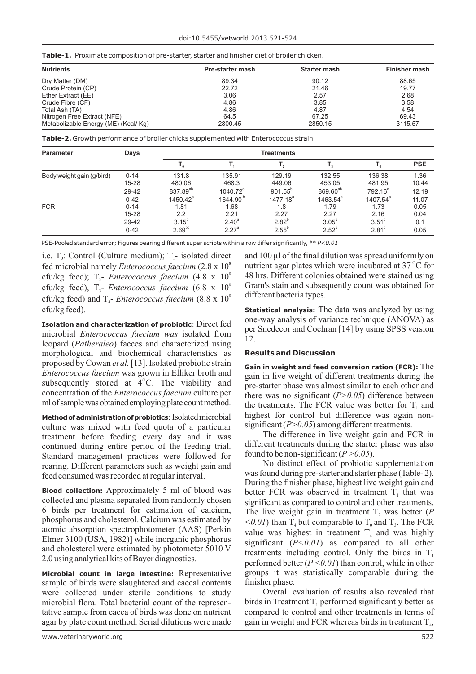| Table-1. Proximate composition of pre-starter, starter and finisher diet of broiler chicken. |  |  |  |  |
|----------------------------------------------------------------------------------------------|--|--|--|--|
|----------------------------------------------------------------------------------------------|--|--|--|--|

| <b>Nutrients</b>                     | Pre-starter mash | Starter mash | Finisher mash |
|--------------------------------------|------------------|--------------|---------------|
| Dry Matter (DM)                      | 89.34            | 90.12        | 88.65         |
| Crude Protein (CP)                   | 22.72            | 21.46        | 19.77         |
| Ether Extract (EE)                   | 3.06             | 2.57         | 2.68          |
| Crude Fibre (CF)                     | 4.86             | 3.85         | 3.58          |
| Total Ash (TA)                       | 4.86             | 4.87         | 4.54          |
| Nitrogen Free Extract (NFE)          | 64.5             | 67.25        | 69.43         |
| Metabolizable Energy (ME) (Kcal/ Kg) | 2800.45          | 2850.15      | 3115.57       |

**Table-2.** Growth performance of broiler chicks supplemented with Enterococcus strain

| <b>Parameter</b>          | Days      | <b>Treatments</b>    |                      |                  |                      |               |            |
|---------------------------|-----------|----------------------|----------------------|------------------|----------------------|---------------|------------|
|                           |           |                      |                      | ٠,               |                      |               | <b>PSE</b> |
| Body weight gain (g/bird) | $0 - 14$  | 131.8                | 135.91               | 129.19           | 132.55               | 136.38        | 1.36       |
|                           | $15 - 28$ | 480.06               | 468.3                | 449.06           | 453.05               | 481.95        | 10.44      |
|                           | 29-42     | 837.89 <sup>ab</sup> | $1040.72^{\circ}$    | $901.55^{\circ}$ | 869.60 <sup>ab</sup> | $792.16^a$    | 12.19      |
|                           | $0 - 42$  | $1450.42^{\circ}$    | 1644.90 <sup>b</sup> | $1477.18^{a}$    | $1463.54^{a}$        | $1407.54^{a}$ | 11.07      |
| <b>FCR</b>                | $0 - 14$  | 1.81                 | 1.68                 | 1.8              | 1.79                 | 1.73          | 0.05       |
|                           | $15 - 28$ | 2.2                  | 2.21                 | 2.27             | 2.27                 | 2.16          | 0.04       |
|                           | 29-42     | $3.15^{b}$           | $2.40^{a}$           | $2.82^{b}$       | $3.05^{\circ}$       | $3.51^\circ$  | 0.1        |
|                           | $0 - 42$  | 2.69 <sup>bc</sup>   | $2.27^{\circ}$       | $2.55^{b}$       | $2.52^{b}$           | $2.81^\circ$  | 0.05       |

PSE-Pooled standard error; Figures bearing different super scripts within a row differ significantly, \*\* *P<0.01*

fed microbial namely *Enterococcus faecium*  $(2.8 \times 10^8$  nutrient agar plates which were incubated at 37<sup>o</sup>C for cfu/kg feed): T<sub>2</sub>- *Enterococcus faecium*  $(4.8 \times 10^8$  48 hrs. Different colonies obtained were stained u cfu/kg feed);  $T_2$ - *Enterococcus faecium* (4.8 x 10<sup>8</sup> 48 hrs. Different colonies obtained were stained using cfu/kg feed),  $T_3$ - *Enterococcus faecium* (6.8 x 10<sup>8</sup> Gram's stain and subsequently count was obtained for cfu/kg feed) and  $T_4$ - *Enterococcus faecium* (8.8 x 10<sup>8</sup> different bacteria types. cfu/kg feed). **Statistical analysis:** The data was analyzed by using

microbial *Enterococcus faecium was* isolated from leopard (*Patheraleo*) faeces and characterized using 12. morphological and biochemical characteristics as **Results and Discussion** proposed by Cowan *et al.* [13]. Isolated probiotic strain **Gain in weight and feed conversion ration (FCR):** The *Enterococcus faecium* was grown in Elliker broth and gain in live weight of different treatments during the subsequently stored at 4<sup>o</sup>C. The viability and pre-starter phase was almost similar to each other and subsequently stored at  $4^{\circ}$ C. The viability and concentration of the *Enterococcus faecium* culture per concentration of the *Enterococcus faecium* culture per there was no significant  $(P>0.05)$  difference between ml of sample was obtained employing plate count method.

culture was mixed with feed quota of a particular significant  $(P>0.05)$  among different treatments.<br>treatment before feeding every day and it was The difference in live weight gain and FCR in treatment before feeding every day and it was continued during entire period of the feeding trial. different treatments during the starter phase was also Standard management practices were followed for found to be non-significant  $(P>0.05)$ . Standard management practices were followed for found to be non-significant  $(P > 0.05)$ .<br>
Found to be non-significant  $(P > 0.05)$ . rearing. Different parameters such as weight gain and feed consumed was recorded at regular interval. was found during pre-starter and starter phase (Table- 2).

**Blood collection:** Approximately 5 ml of blood was better FCR was observed in treatment  $\overline{T}_1$  that was collected and plasma separated from randomly chosen significant as compared to control and other treatments collected and plasma separated from randomly chosen significant as compared to control and other treatments.<br>6 birds per treatment for estimation of calcium, The live weight gain in treatment T was better (P 6 birds per treatment for estimation of calcium, The live weight gain in treatment  $T_2$  was better (*P* phosphorus and cholesterol. Calcium was estimated by  $\lt 0.01$  than T but comparable to T and T. The ECR phosphorus and cholesterol. Calcium was estimated by  $\langle 0.01 \rangle$  than  $T_4$  but comparable to  $T_0$  and  $T_3$ . The FCR atomic absorption spectrophotometer (AAS) [Perkin value was highest in treatment T, and was highly Elmer 3100 (USA, 1982)] while inorganic phosphorus significant  $(P<0.01)$  as compared to all other<br>and cholesterol were estimated by photometer 5010 V and cholesteror were estimated by photometer 5010 V treatments including control. Only the birds in  $T_1$ <br>2.0 using analytical kits of Bayer diagnostics.

sample of birds were slaughtered and caecal contents finisher phase. were collected under sterile conditions to study Overall evaluation of results also revealed that microbial flora. Total bacterial count of the represen-<br>birds in Treatment  $T_1$  performed significantly better as tative sample from caeca of birds was done on nutrient compared to control and other treatments in terms of agar by plate count method. Serial dilutions were made gain in weight and FCR whereas birds in treatment  $T_a$ ,

i.e.  $T_0$ : Control (Culture medium);  $T_1$ - isolated direct and 100 µl of the final dilution was spread uniformly on nutrient agar plates which were incubated at  $37^{\circ}$ C for

**Isolation and characterization of probiotic**: Direct fed one-way analysis of variance technique (ANOVA) as per Snedecor and Cochran [14] by using SPSS version

the treatments. The FCR value was better for  $T<sub>1</sub>$  and Method of administration of probiotics: Isolated microbial highest for control but difference was again non-

During the finisher phase, highest live weight gain and value was highest in treatment  $T<sub>4</sub>$  and was highly performed better  $(P < 0.01)$  than control, while in other **Microbial count in large intestine:** Representative groups it was statistically comparable during the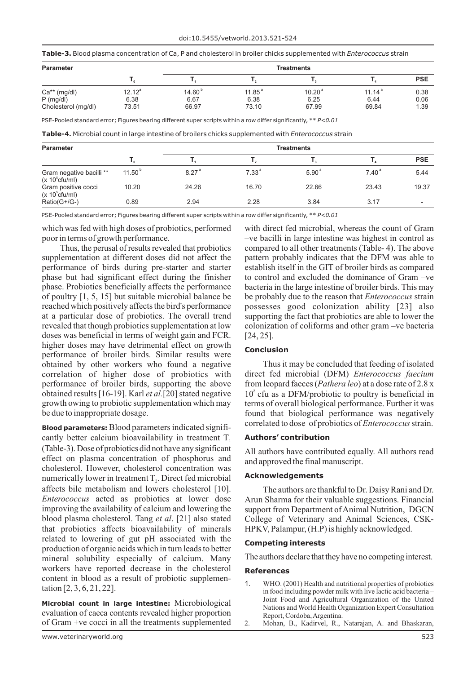|  | Table-3. Blood plasma concentration of Ca, P and cholesterol in broiler chicks supplemented with Enterococcus strain |
|--|----------------------------------------------------------------------------------------------------------------------|
|--|----------------------------------------------------------------------------------------------------------------------|

| <b>Parameter</b>    |           | <b>Treatments</b>  |                    |                    |                    |            |
|---------------------|-----------|--------------------|--------------------|--------------------|--------------------|------------|
|                     |           |                    |                    |                    |                    | <b>PSE</b> |
| $Ca** (mg/dl)$      | $12.12^a$ | 14.60 <sup>b</sup> | 11.85 <sup>a</sup> | 10.20 <sup>a</sup> | 11.14 <sup>a</sup> | 0.38       |
| $P$ (mg/dl)         | 6.38      | 6.67               | 6.38               | 6.25               | 6.44               | 0.06       |
| Cholesterol (mg/dl) | 73.51     | 66.97              | 73.10              | 67.99              | 69.84              | 1.39       |

PSE-Pooled standard error; Figures bearing different super scripts within a row differ significantly, \*\* *P<0.01*

**Table-4.** Microbial count in large intestine of broilers chicks supplemented with *Enterococcus* strain

| <b>Parameter</b>                              |                    | <b>Treatments</b> |                   |                   |                   |                          |
|-----------------------------------------------|--------------------|-------------------|-------------------|-------------------|-------------------|--------------------------|
|                                               |                    |                   | $\mathbf{I}$ ,    |                   |                   | <b>PSE</b>               |
| Gram negative bacilli **<br>$(x 10^5$ cfu/ml) | 11.50 <sup>b</sup> | 8.27 <sup>a</sup> | 7.33 <sup>a</sup> | 5.90 <sup>a</sup> | 7.40 <sup>a</sup> | 5.44                     |
| Gram positive cocci<br>$(x 10^5$ cfu/ml)      | 10.20              | 24.26             | 16.70             | 22.66             | 23.43             | 19.37                    |
| Ratio(G+/G-)                                  | 0.89               | 2.94              | 2.28              | 3.84              | 3.17              | $\overline{\phantom{a}}$ |

PSE-Pooled standard error; Figures bearing different super scripts within a row differ significantly, \*\* *P<0.01*

which was fed with high doses of probiotics, performed with direct fed microbial, whereas the count of Gram

supplementation at different doses did not affect the pattern probably indicates that the DFM was able to performance of birds during pre-starter and starter establish itself in the GIT of broiler birds as compared phase but had significant effect during the finisher to control and excluded the dominance of Gram –ve phase. Probiotics beneficially affects the performance bacteria in the large intestine of broiler birds. This may of poultry [1, 5, 15] but suitable microbial balance be be probably due to the reason that *Enterococcus* strain reached which positively affects the bird's performance possesses good colonization ability [23] also at a particular dose of probiotics. The overall trend supporting the fact that probiotics are able to lower the revealed that though probiotics supplementation at low colonization of coliforms and other gram –ve bacteria doses was beneficial in terms of weight gain and FCR. [24, 25]. higher doses may have detrimental effect on growth<br>performance of broiler birds. Similar results were<br>**Conclusion** obtained by other workers who found a negative Thus it may be concluded that feeding of isolated correlation of higher dose of probiotics with direct fed microbial (DFM) *Enterococcus faecium*  performance of broiler birds, supporting the above from leopard faeces (*Pathera leo*) at a dose rate of 2.8 x obtained results [16-19]. Karl *et al.*[20] stated negative 10<sup>8</sup> cfu as a DFM/probiotic to poultry is beneficial in growth owing to probiotic supplementation which may terms of overall biological performance. Further it was be due to inappropriate dosage.  $\blacksquare$  found that biological performance was negatively

cantly better calcium bioavailability in treatment  $T_1$  **Authors' contribution** (Table-3).Dose of probiotics did not have any significant All authors have contributed equally. All authors read effect on plasma concentration of phosphorus and and approved the final manuscript. cholesterol. However, cholesterol concentration was numerically lower in treatment T<sub>3</sub>. Direct fed microbial **Acknowledgements** affects bile metabolism and lowers cholesterol [10]. The authors are thankful to Dr. Daisy Rani and Dr. *Enterococcus* acted as probiotics at lower dose Arun Sharma for their valuable suggestions. Financial improving the availability of calcium and lowering the support from Department of Animal Nutrition, DGCN blood plasma cholesterol. Tang *et al*. [21] also stated College of Veterinary and Animal Sciences, CSKthat probiotics affects bioavailability of minerals HPKV, Palampur, (H.P) is highly acknowledged. related to lowering of gut pH associated with the<br>production of organic acids which in turn leads to better<br>mineral solubility especially of calcium Many The authors declare that they have no competing interest. mineral solubility especially of calcium. Many The authors declare that they have no competing interest. workers have reported decrease in the cholesterol **References**

**Microbial count in large intestine:** Microbiological Nations and World Health Organization Expert Consultation evaluation of caeca contents revealed higher proportion Report, Cordoba, Argentina. evaluation of caeca contents revealed higher proportion of Gram +ve cocci in all the treatments supplemented 2. Mohan, B., Kadirvel, R., Natarajan, A. and Bhaskaran,

poor in terms of growth performance. –ve bacilli in large intestine was highest in control as Thus, the perusal of results revealed that probiotics compared to all other treatments (Table- 4). The above to control and excluded the dominance of Gram –ve

correlated to dose of probiotics of *Enterococcus*strain. **Blood parameters:** Blood parameters indicated signifi-

Arun Sharma for their valuable suggestions. Financial

- content in blood as a result of probiotic supplemen-<br>tation [2, 3, 6, 21, 22].<br>Microbiological in food including powder milk with live lactic acid bacteria –<br>Joint Food and Agricultural Organization of the United
	-